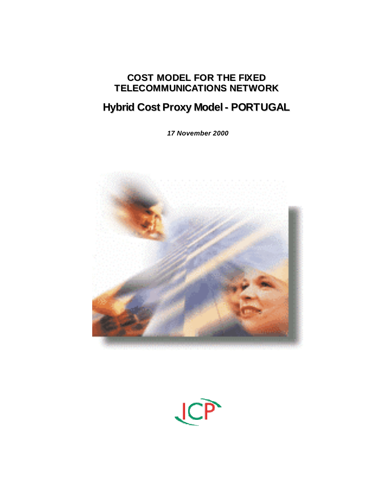# **COST MODEL FOR THE FIXED TELECOMMUNICATIONS NETWORK**

# **Hybrid Cost Proxy Model- PORTUGAL**

*17 November 2000*



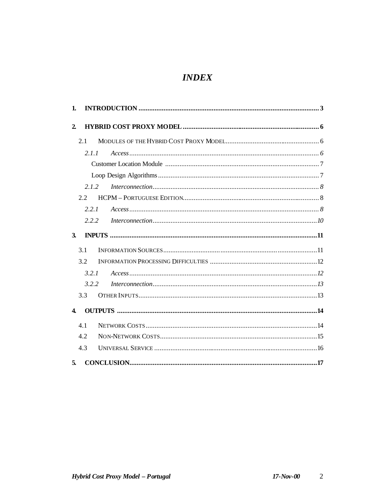# **INDEX**

| 1.           |       |           |
|--------------|-------|-----------|
| $\mathbf{2}$ |       |           |
|              | 2.1   |           |
|              | 2.1.1 |           |
|              |       |           |
|              |       |           |
|              | 212   |           |
|              | 2.2   |           |
|              | 2.2.1 |           |
|              | 2.2.2 |           |
| $\mathbf{3}$ |       |           |
|              | 3.1   |           |
|              | 3.2   |           |
|              | 3.2.1 | Access 12 |
|              | 3.2.2 |           |
|              | 3.3   |           |
| 4            |       |           |
|              | 4.1   |           |
|              | 4.2   |           |
|              | 4.3   |           |
| 5.           |       |           |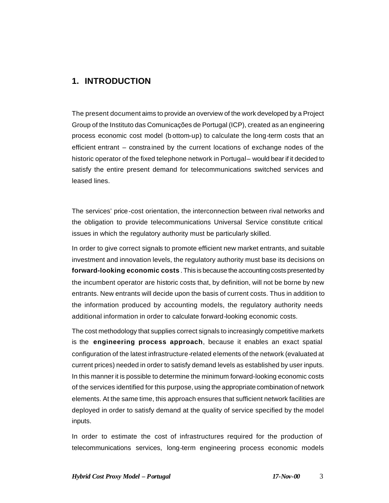# **1. INTRODUCTION**

The present document aims to provide an overview of the work developed by a Project Group of the Instituto das Comunicações de Portugal (ICP), created as an engineering process economic cost model (b ottom-up) to calculate the long-term costs that an efficient entrant – constrained by the current locations of exchange nodes of the historic operator of the fixed telephone network in Portugal – would bear if it decided to satisfy the entire present demand for telecommunications switched services and leased lines.

The services' price-cost orientation, the interconnection between rival networks and the obligation to provide telecommunications Universal Service constitute critical issues in which the regulatory authority must be particularly skilled.

In order to give correct signals to promote efficient new market entrants, and suitable investment and innovation levels, the regulatory authority must base its decisions on **forward-looking economic costs** . This is because the accounting costs presented by the incumbent operator are historic costs that, by definition, will not be borne by new entrants. New entrants will decide upon the basis of current costs. Thus in addition to the information produced by accounting models, the regulatory authority needs additional information in order to calculate forward-looking economic costs.

The cost methodology that supplies correct signals to increasingly competitive markets is the **engineering process approach**, because it enables an exact spatial configuration of the latest infrastructure-related elements of the network (evaluated at current prices) needed in order to satisfy demand levels as established by user inputs. In this manner it is possible to determine the minimum forward-looking economic costs of the services identified for this purpose, using the appropriate combination of network elements. At the same time, this approach ensures that sufficient network facilities are deployed in order to satisfy demand at the quality of service specified by the model inputs.

In order to estimate the cost of infrastructures required for the production of telecommunications services, long-term engineering process economic models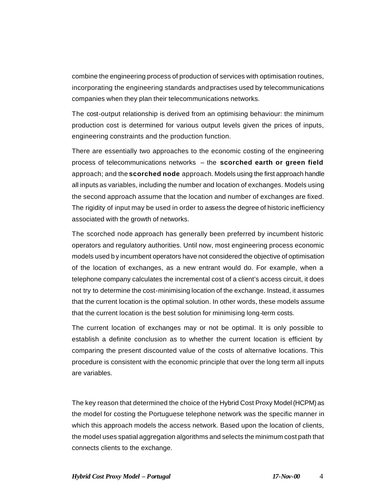combine the engineering process of production of services with optimisation routines, incorporating the engineering standards and practises used by telecommunications companies when they plan their telecommunications networks.

The cost-output relationship is derived from an optimising behaviour: the minimum production cost is determined for various output levels given the prices of inputs, engineering constraints and the production function.

There are essentially two approaches to the economic costing of the engineering process of telecommunications networks – the **scorched earth or green field** approach; and the **scorched node** approach. Models using the first approach handle all inputs as variables, including the number and location of exchanges. Models using the second approach assume that the location and number of exchanges are fixed. The rigidity of input may be used in order to assess the degree of historic inefficiency associated with the growth of networks.

The scorched node approach has generally been preferred by incumbent historic operators and regulatory authorities. Until now, most engineering process economic models used b y incumbent operators have not considered the objective of optimisation of the location of exchanges, as a new entrant would do. For example, when a telephone company calculates the incremental cost of a client's access circuit, it does not try to determine the cost-minimising location of the exchange. Instead, it assumes that the current location is the optimal solution. In other words, these models assume that the current location is the best solution for minimising long-term costs.

The current location of exchanges may or not be optimal. It is only possible to establish a definite conclusion as to whether the current location is efficient by comparing the present discounted value of the costs of alternative locations. This procedure is consistent with the economic principle that over the long term all inputs are variables.

The key reason that determined the choice of the Hybrid Cost Proxy Model (HCPM) as the model for costing the Portuguese telephone network was the specific manner in which this approach models the access network. Based upon the location of clients, the model uses spatial aggregation algorithms and selects the minimum cost path that connects clients to the exchange.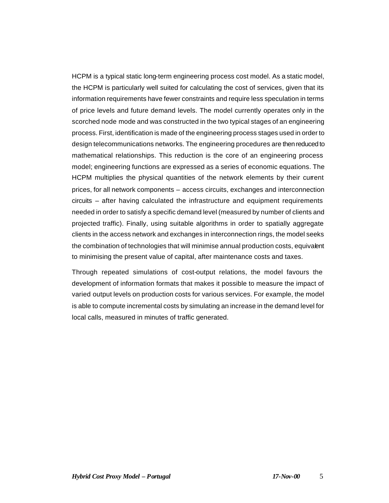HCPM is a typical static long-term engineering process cost model. As a static model, the HCPM is particularly well suited for calculating the cost of services, given that its information requirements have fewer constraints and require less speculation in terms of price levels and future demand levels. The model currently operates only in the scorched node mode and was constructed in the two typical stages of an engineering process. First, identification is made of the engineering process stages used in order to design telecommunications networks. The engineering procedures are then reduced to mathematical relationships. This reduction is the core of an engineering process model; engineering functions are expressed as a series of economic equations. The HCPM multiplies the physical quantities of the network elements by their current prices, for all network components – access circuits, exchanges and interconnection circuits – after having calculated the infrastructure and equipment requirements needed in order to satisfy a specific demand level (measured by number of clients and projected traffic). Finally, using suitable algorithms in order to spatially aggregate clients in the access network and exchanges in interconnection rings, the model seeks the combination of technologies that will minimise annual production costs, equivalent to minimising the present value of capital, after maintenance costs and taxes.

Through repeated simulations of cost-output relations, the model favours the development of information formats that makes it possible to measure the impact of varied output levels on production costs for various services. For example, the model is able to compute incremental costs by simulating an increase in the demand level for local calls, measured in minutes of traffic generated.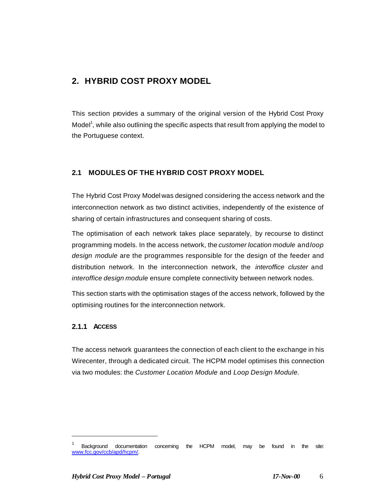# **2. HYBRID COST PROXY MODEL**

This section provides a summary of the original version of the Hybrid Cost Proxy Model<sup>1</sup>, while also outlining the specific aspects that result from applying the model to the Portuguese context.

# **2.1 MODULES OF THE HYBRID COST PROXY MODEL**

The Hybrid Cost Proxy Model was designed considering the access network and the interconnection network as two distinct activities, independently of the existence of sharing of certain infrastructures and consequent sharing of costs.

The optimisation of each network takes place separately, by recourse to distinct programming models. In the access network, the *customer location module* and *loop design module* are the programmes responsible for the design of the feeder and distribution network. In the interconnection network, the *interoffice cluster* and *interoffice design module* ensure complete connectivity between network nodes.

This section starts with the optimisation stages of the access network, followed by the optimising routines for the interconnection network.

### **2.1.1 ACCESS**

 $\overline{\phantom{a}}$ 

The access network guarantees the connection of each client to the exchange in his Wirecenter, through a dedicated circuit. The HCPM model optimises this connection via two modules: the *Customer Location Module* and *Loop Design Module.*

<sup>&</sup>lt;sup>1</sup> Background documentation concerning the HCPM model, may be found in the site: www.fcc.gov/ccb/apd/hcpm/.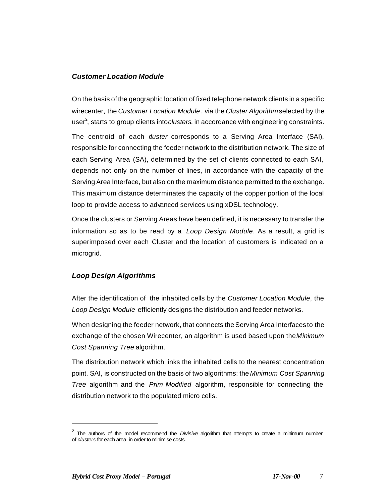#### *Customer Location Module*

On the basis of the geographic location of fixed telephone network clients in a specific wirecenter, the *Customer Location Module* , via the *Cluster Algorithm* selected by the user<sup>2</sup>, starts to group clients into *clusters*, in accordance with engineering constraints.

The centroid of each duster corresponds to a Serving Area Interface (SAI), responsible for connecting the feeder network to the distribution network. The size of each Serving Area (SA), determined by the set of clients connected to each SAI, depends not only on the number of lines, in accordance with the capacity of the Serving Area Interface, but also on the maximum distance permitted to the exchange. This maximum distance determinates the capacity of the copper portion of the local loop to provide access to advanced services using xDSL technology.

Once the clusters or Serving Areas have been defined, it is necessary to transfer the information so as to be read by a *Loop Design Module*. As a result, a grid is superimposed over each Cluster and the location of customers is indicated on a microgrid.

### *Loop Design Algorithms*

After the identification of the inhabited cells by the *Customer Location Module*, the *Loop Design Module* efficiently designs the distribution and feeder networks.

When designing the feeder network, that connects the Serving Area Interfaces to the exchange of the chosen Wirecenter, an algorithm is used based upon the *Minimum Cost Spanning Tree* algorithm.

The distribution network which links the inhabited cells to the nearest concentration point, SAI, is constructed on the basis of two algorithms: the *Minimum Cost Spanning Tree* algorithm and the *Prim Modified* algorithm, responsible for connecting the distribution network to the populated micro cells.

 $\overline{a}$ 

<sup>2</sup> The authors of the model recommend the *Divisive* algorithm that attempts to create a minimum number of *clusters* for each area, in order to minimise costs.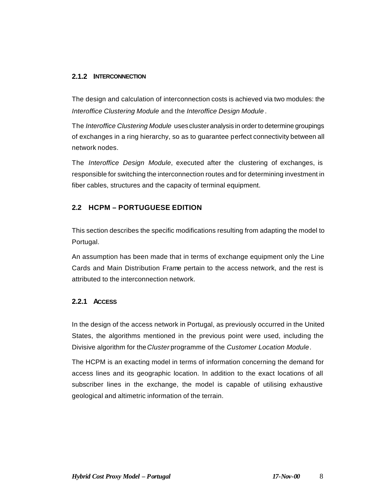#### **2.1.2 INTERCONNECTION**

The design and calculation of interconnection costs is achieved via two modules: the *Interoffice Clustering Module* and the *Interoffice Design Module* .

The *Interoffice Clustering Module* uses cluster analysis in order to determine groupings of exchanges in a ring hierarchy, so as to guarantee perfect connectivity between all network nodes.

The *Interoffice Design Module*, executed after the clustering of exchanges, is responsible for switching the interconnection routes and for determining investment in fiber cables, structures and the capacity of terminal equipment.

### **2.2 HCPM – PORTUGUESE EDITION**

This section describes the specific modifications resulting from adapting the model to Portugal.

An assumption has been made that in terms of exchange equipment only the Line Cards and Main Distribution Frame pertain to the access network, and the rest is attributed to the interconnection network.

### **2.2.1 ACCESS**

In the design of the access network in Portugal, as previously occurred in the United States, the algorithms mentioned in the previous point were used, including the Divisive algorithm for the *Cluster* programme of the *Customer Location Module*.

The HCPM is an exacting model in terms of information concerning the demand for access lines and its geographic location. In addition to the exact locations of all subscriber lines in the exchange, the model is capable of utilising exhaustive geological and altimetric information of the terrain.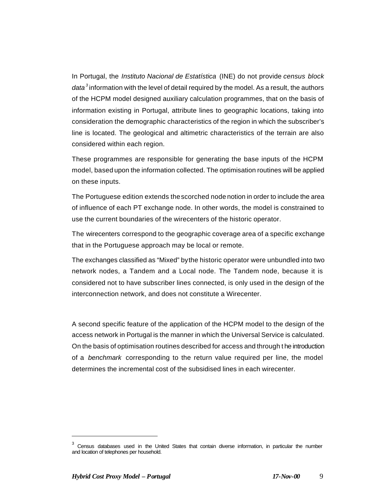In Portugal, the *Instituto Nacional de Estatística* (INE) do not provide *census block data<sup>3</sup>* information with the level of detail required by the model. As a result, the authors of the HCPM model designed auxiliary calculation programmes, that on the basis of information existing in Portugal, attribute lines to geographic locations, taking into consideration the demographic characteristics of the region in which the subscriber's line is located. The geological and altimetric characteristics of the terrain are also considered within each region.

These programmes are responsible for generating the base inputs of the HCPM model, based upon the information collected. The optimisation routines will be applied on these inputs.

The Portuguese edition extends the scorched node notion in order to include the area of influence of each PT exchange node. In other words, the model is constrained to use the current boundaries of the wirecenters of the historic operator.

The wirecenters correspond to the geographic coverage area of a specific exchange that in the Portuguese approach may be local or remote.

The exchanges classified as "Mixed" by the historic operator were unbundled into two network nodes, a Tandem and a Local node. The Tandem node, because it is considered not to have subscriber lines connected, is only used in the design of the interconnection network, and does not constitute a Wirecenter.

A second specific feature of the application of the HCPM model to the design of the access network in Portugal is the manner in which the Universal Service is calculated. On the basis of optimisation routines described for access and through t he introduction of a *benchmark* corresponding to the return value required per line, the model determines the incremental cost of the subsidised lines in each wirecenter.

 $\overline{\phantom{a}}$ 

<sup>3</sup> Census databases used in the United States that contain diverse information, in particular the number and location of telephones per household.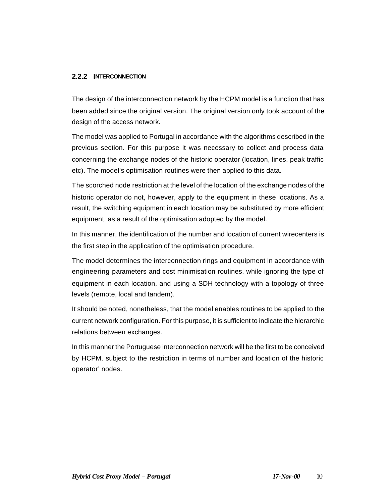#### **2.2.2 INTERCONNECTION**

The design of the interconnection network by the HCPM model is a function that has been added since the original version. The original version only took account of the design of the access network.

The model was applied to Portugal in accordance with the algorithms described in the previous section. For this purpose it was necessary to collect and process data concerning the exchange nodes of the historic operator (location, lines, peak traffic etc). The model's optimisation routines were then applied to this data.

The scorched node restriction at the level of the location of the exchange nodes of the historic operator do not, however, apply to the equipment in these locations. As a result, the switching equipment in each location may be substituted by more efficient equipment, as a result of the optimisation adopted by the model.

In this manner, the identification of the number and location of current wirecenters is the first step in the application of the optimisation procedure.

The model determines the interconnection rings and equipment in accordance with engineering parameters and cost minimisation routines, while ignoring the type of equipment in each location, and using a SDH technology with a topology of three levels (remote, local and tandem).

It should be noted, nonetheless, that the model enables routines to be applied to the current network configuration. For this purpose, it is sufficient to indicate the hierarchic relations between exchanges.

In this manner the Portuguese interconnection network will be the first to be conceived by HCPM, subject to the restriction in terms of number and location of the historic operator' nodes.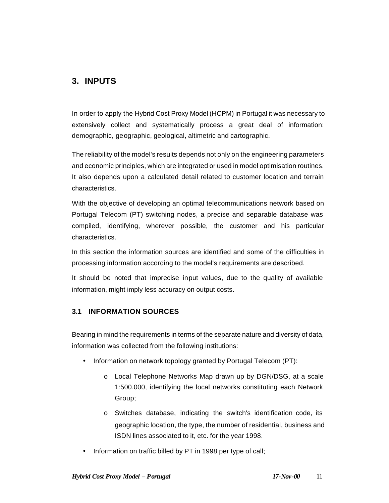# **3. INPUTS**

In order to apply the Hybrid Cost Proxy Model (HCPM) in Portugal it was necessary to extensively collect and systematically process a great deal of information: demographic, geographic, geological, altimetric and cartographic.

The reliability of the model's results depends not only on the engineering parameters and economic principles, which are integrated or used in model optimisation routines. It also depends upon a calculated detail related to customer location and terrain characteristics.

With the objective of developing an optimal telecommunications network based on Portugal Telecom (PT) switching nodes, a precise and separable database was compiled, identifying, wherever possible, the customer and his particular characteristics.

In this section the information sources are identified and some of the difficulties in processing information according to the model's requirements are described.

It should be noted that imprecise input values, due to the quality of available information, might imply less accuracy on output costs.

# **3.1 INFORMATION SOURCES**

Bearing in mind the requirements in terms of the separate nature and diversity of data, information was collected from the following institutions:

- Information on network topology granted by Portugal Telecom (PT):
	- o Local Telephone Networks Map drawn up by DGN/DSG, at a scale 1:500.000, identifying the local networks constituting each Network Group;
	- o Switches database, indicating the switch's identification code, its geographic location, the type, the number of residential, business and ISDN lines associated to it, etc. for the year 1998.
- Information on traffic billed by PT in 1998 per type of call;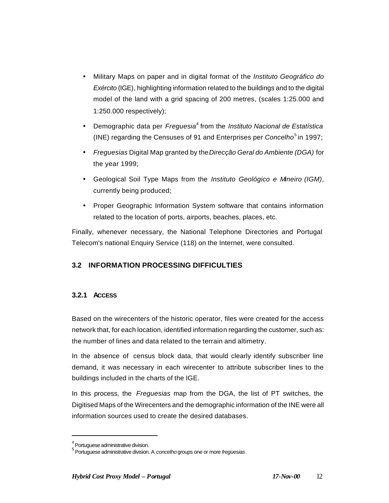- Military Maps on paper and in digital format of the *Instituto Geográfico do Exército* (IGE), highlighting information related to the buildings and to the digital model of the land with a grid spacing of 200 metres, (scales 1:25.000 and 1:250.000 respectively);
- Demographic data per *Freguesia<sup>4</sup>* from the *Instituto Nacional de Estatística* (INE) regarding the Censuses of 91 and Enterprises per *Concelho*<sup>5</sup> in 1997;
- *Freguesias* Digital Map granted by the *Direcção Geral do Ambiente (DGA)* for the year 1999;
- Geological Soil Type Maps from the *Instituto Geológico e Mineiro (IGM)*, currently being produced;
- Proper Geographic Information System software that contains information related to the location of ports, airports, beaches, places, etc.

Finally, whenever necessary, the National Telephone Directories and Portugal Telecom's national Enquiry Service (118) on the Internet, were consulted.

# **3.2 INFORMATION PROCESSING DIFFICULTIES**

# **3.2.1 ACCESS**

Based on the wirecenters of the historic operator, files were created for the access network that, for each location, identified information regarding the customer, such as: the number of lines and data related to the terrain and altimetry.

In the absence of census block data, that would clearly identify subscriber line demand, it was necessary in each wirecenter to attribute subscriber lines to the buildings included in the charts of the IGE.

In this process, the *Freguesias* map from the DGA, the list of PT switches, the Digitised Maps of the Wirecenters and the demographic information of the INE were all information sources used to create the desired databases.

 $\overline{\phantom{a}}$ 

 $<sup>4</sup>$  Portuguese administrative division.</sup>

<sup>5</sup> Portuguese administrative division. A *concelho* groups one or more *freguesias*.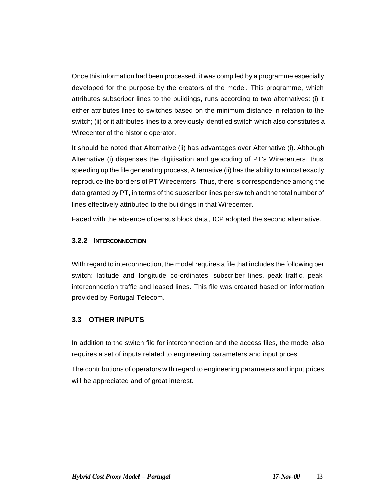Once this information had been processed, it was compiled by a programme especially developed for the purpose by the creators of the model. This programme, which attributes subscriber lines to the buildings, runs according to two alternatives: (i) it either attributes lines to switches based on the minimum distance in relation to the switch; (ii) or it attributes lines to a previously identified switch which also constitutes a Wirecenter of the historic operator.

It should be noted that Alternative (ii) has advantages over Alternative (i). Although Alternative (i) dispenses the digitisation and geocoding of PT's Wirecenters, thus speeding up the file generating process, Alternative (ii) has the ability to almost exactly reproduce the bord ers of PT Wirecenters. Thus, there is correspondence among the data granted by PT, in terms of the subscriber lines per switch and the total number of lines effectively attributed to the buildings in that Wirecenter.

Faced with the absence of census block data, ICP adopted the second alternative.

#### **3.2.2 INTERCONNECTION**

With regard to interconnection, the model requires a file that includes the following per switch: latitude and longitude co-ordinates, subscriber lines, peak traffic, peak interconnection traffic and leased lines. This file was created based on information provided by Portugal Telecom.

# **3.3 OTHER INPUTS**

In addition to the switch file for interconnection and the access files, the model also requires a set of inputs related to engineering parameters and input prices.

The contributions of operators with regard to engineering parameters and input prices will be appreciated and of great interest.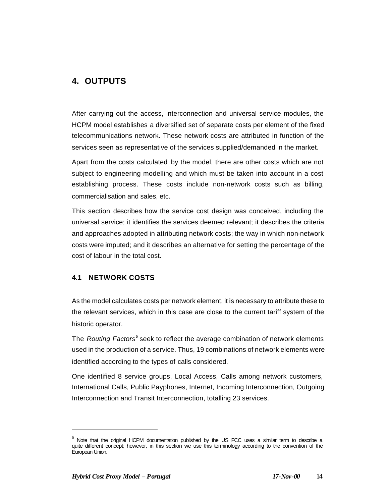# **4. OUTPUTS**

After carrying out the access, interconnection and universal service modules, the HCPM model establishes a diversified set of separate costs per element of the fixed telecommunications network. These network costs are attributed in function of the services seen as representative of the services supplied/demanded in the market.

Apart from the costs calculated by the model, there are other costs which are not subject to engineering modelling and which must be taken into account in a cost establishing process. These costs include non-network costs such as billing, commercialisation and sales, etc.

This section describes how the service cost design was conceived, including the universal service; it identifies the services deemed relevant; it describes the criteria and approaches adopted in attributing network costs; the way in which non-network costs were imputed; and it describes an alternative for setting the percentage of the cost of labour in the total cost.

### **4.1 NETWORK COSTS**

As the model calculates costs per network element, it is necessary to attribute these to the relevant services, which in this case are close to the current tariff system of the historic operator.

The *Routing Factors*<sup>6</sup> seek to reflect the average combination of network elements used in the production of a service. Thus, 19 combinations of network elements were identified according to the types of calls considered.

One identified 8 service groups, Local Access, Calls among network customers, International Calls, Public Payphones, Internet, Incoming Interconnection, Outgoing Interconnection and Transit Interconnection, totalling 23 services.

 $\overline{a}$ 

 $^6$  Note that the original HCPM documentation published by the US FCC uses a similar term to describe a quite different concept; however, in this section we use this terminology according to the convention of the European Union.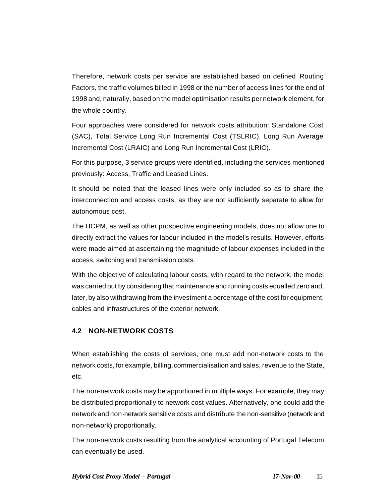Therefore, network costs per service are established based on defined Routing Factors, the traffic volumes billed in 1998 or the number of access lines for the end of 1998 and, naturally, based on the model optimisation results per network element, for the whole country.

Four approaches were considered for network costs attribution: Standalone Cost (SAC), Total Service Long Run Incremental Cost (TSLRIC), Long Run Average Incremental Cost (LRAIC) and Long Run Incremental Cost (LRIC).

For this purpose, 3 service groups were identified, including the services mentioned previously: Access, Traffic and Leased Lines.

It should be noted that the leased lines were only included so as to share the interconnection and access costs, as they are not sufficiently separate to allow for autonomous cost.

The HCPM, as well as other prospective engineering models, does not allow one to directly extract the values for labour included in the model's results. However, efforts were made aimed at ascertaining the magnitude of labour expenses included in the access, switching and transmission costs.

With the objective of calculating labour costs, with regard to the network, the model was carried out by considering that maintenance and running costs equalled zero and, later, by also withdrawing from the investment a percentage of the cost for equipment, cables and infrastructures of the exterior network.

### **4.2 NON-NETWORK COSTS**

When establishing the costs of services, one must add non-network costs to the network costs, for example, billing, commercialisation and sales, revenue to the State, etc.

The non-network costs may be apportioned in multiple ways. For example, they may be distributed proportionally to network cost values. Alternatively, one could add the network and non-network sensitive costs and distribute the non-sensitive (network and non-network) proportionally.

The non-network costs resulting from the analytical accounting of Portugal Telecom can eventually be used.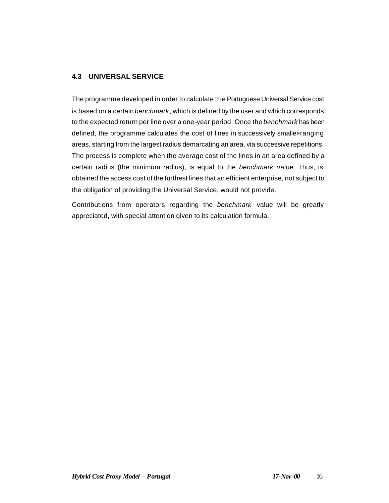### **4.3 UNIVERSAL SERVICE**

The programme developed in order to calculate th e Portuguese Universal Service cost is based on a certain *benchmark*, which is defined by the user and which corresponds to the expected return per line over a one-year period. Once the *benchmark* has been defined, the programme calculates the cost of lines in successively smaller-ranging areas, starting from the largest radius demarcating an area, via successive repetitions. The process is complete when the average cost of the lines in an area defined by a certain radius (the minimum radius), is equal to the *benchmark* value. Thus, is obtained the access cost of the furthest lines that an efficient enterprise, not subject to the obligation of providing the Universal Service, would not provide.

Contributions from operators regarding the *benchmark* value will be greatly appreciated, with special attention given to its calculation formula.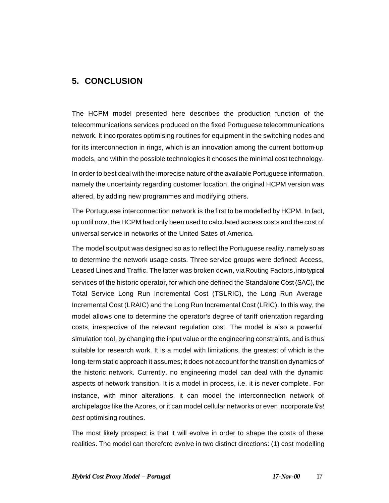# **5. CONCLUSION**

The HCPM model presented here describes the production function of the telecommunications services produced on the fixed Portuguese telecommunications network. It incorporates optimising routines for equipment in the switching nodes and for its interconnection in rings, which is an innovation among the current bottom-up models, and within the possible technologies it chooses the minimal cost technology.

In order to best deal with the imprecise nature of the available Portuguese information, namely the uncertainty regarding customer location, the original HCPM version was altered, by adding new programmes and modifying others.

The Portuguese interconnection network is the first to be modelled by HCPM. In fact, up until now, the HCPM had only been used to calculated access costs and the cost of universal service in networks of the United Sates of America.

The model's output was designed so as to reflect the Portuguese reality, namely so as to determine the network usage costs. Three service groups were defined: Access, Leased Lines and Traffic. The latter was broken down, via Routing Factors, into typical services of the historic operator, for which one defined the Standalone Cost (SAC), the Total Service Long Run Incremental Cost (TSLRIC), the Long Run Average Incremental Cost (LRAIC) and the Long Run Incremental Cost (LRIC). In this way, the model allows one to determine the operator's degree of tariff orientation regarding costs, irrespective of the relevant regulation cost. The model is also a powerful simulation tool, by changing the input value or the engineering constraints, and is thus suitable for research work. It is a model with limitations, the greatest of which is the long-term static approach it assumes; it does not account for the transition dynamics of the historic network. Currently, no engineering model can deal with the dynamic aspects of network transition. It is a model in process, i.e. it is never complete. For instance, with minor alterations, it can model the interconnection network of archipelagos like the Azores, or it can model cellular networks or even incorporate *first best* optimising routines.

The most likely prospect is that it will evolve in order to shape the costs of these realities. The model can therefore evolve in two distinct directions: (1) cost modelling